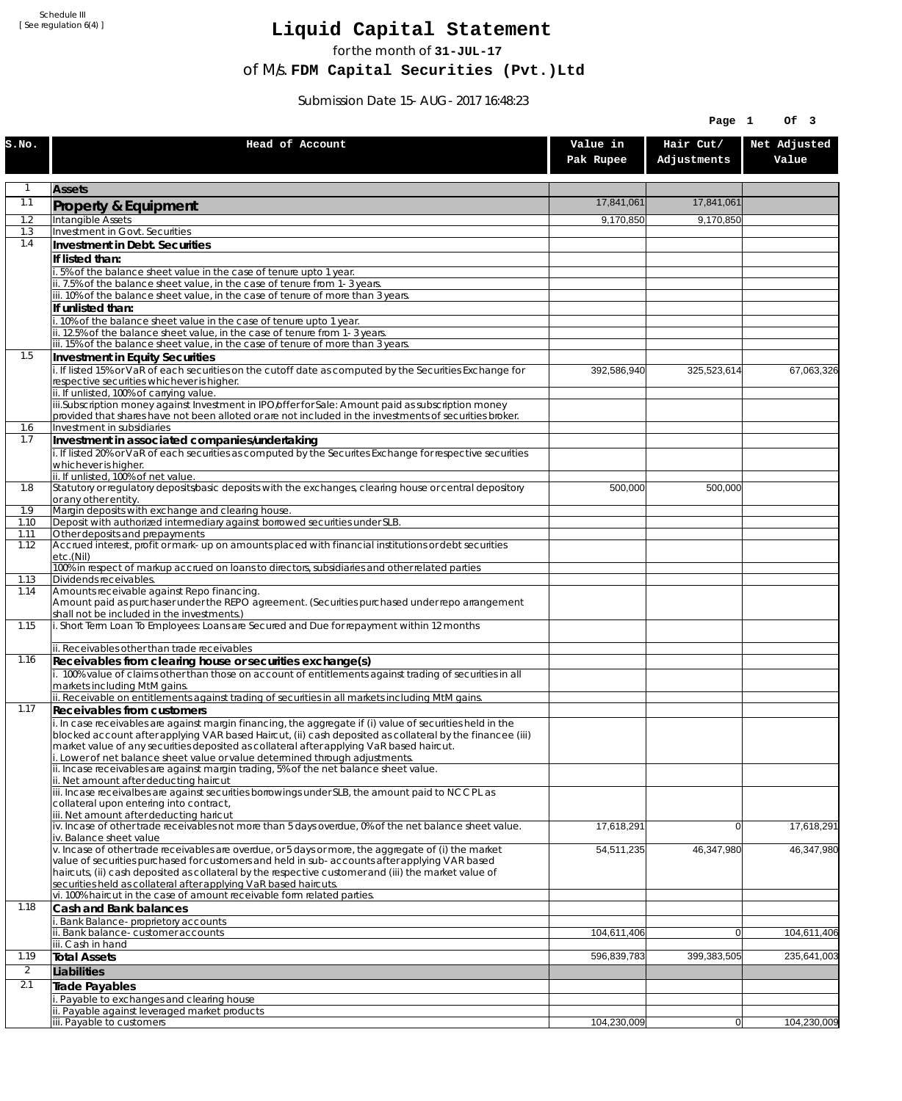Schedule III [ See regulation 6(4) ]

## **Liquid Capital Statement**

for the month of **31-JUL-17**

of M/s. **FDM Capital Securities (Pvt.)Ltd**

Submission Date 15-AUG-2017 16:48:23

|                |                                                                                                                                                                                                                                                                                                                                                                                   |                       | Page 1                   | Of 3                  |
|----------------|-----------------------------------------------------------------------------------------------------------------------------------------------------------------------------------------------------------------------------------------------------------------------------------------------------------------------------------------------------------------------------------|-----------------------|--------------------------|-----------------------|
| S.NO.          | Head of Account                                                                                                                                                                                                                                                                                                                                                                   | Value in<br>Pak Rupee | Hair Cut/<br>Adjustments | Net Adjusted<br>Value |
| 1              | <b>Assets</b>                                                                                                                                                                                                                                                                                                                                                                     |                       |                          |                       |
| 1.1            | Property & Equipment                                                                                                                                                                                                                                                                                                                                                              | 17,841,061            | 17,841,061               |                       |
| 1.2            | Intangible Assets                                                                                                                                                                                                                                                                                                                                                                 | 9,170,850             | 9,170,850                |                       |
| 1.3<br>1.4     | Investment in Govt. Securities                                                                                                                                                                                                                                                                                                                                                    |                       |                          |                       |
|                | Investment in Debt. Securities<br>If listed than:                                                                                                                                                                                                                                                                                                                                 |                       |                          |                       |
|                | 5% of the balance sheet value in the case of tenure upto 1 year.                                                                                                                                                                                                                                                                                                                  |                       |                          |                       |
|                | ii. 7.5% of the balance sheet value, in the case of tenure from 1-3 years.                                                                                                                                                                                                                                                                                                        |                       |                          |                       |
|                | iii. 10% of the balance sheet value, in the case of tenure of more than 3 years.<br>If unlisted than:                                                                                                                                                                                                                                                                             |                       |                          |                       |
|                | i. 10% of the balance sheet value in the case of tenure upto 1 year.                                                                                                                                                                                                                                                                                                              |                       |                          |                       |
|                | ii. 12.5% of the balance sheet value, in the case of tenure from 1-3 years.                                                                                                                                                                                                                                                                                                       |                       |                          |                       |
| 1.5            | iii. 15% of the balance sheet value, in the case of tenure of more than 3 years.<br>Investment in Equity Securities                                                                                                                                                                                                                                                               |                       |                          |                       |
|                | i. If listed 15% or VaR of each securities on the cutoff date as computed by the Securities Exchange for<br>respective securities whichever is higher.                                                                                                                                                                                                                            | 392,586,940           | 325,523,614              | 67,063,326            |
|                | ii. If unlisted, 100% of carrying value.<br>iii.Subscription money against Investment in IPO/offer for Sale: Amount paid as subscription money<br>provided that shares have not been alloted or are not included in the investments of securities broker.                                                                                                                         |                       |                          |                       |
| 1.6            | Investment in subsidiaries                                                                                                                                                                                                                                                                                                                                                        |                       |                          |                       |
| 1.7            | Investment in associated companies/undertaking                                                                                                                                                                                                                                                                                                                                    |                       |                          |                       |
|                | i. If listed 20% or VaR of each securities as computed by the Securites Exchange for respective securities<br>whichever is higher.<br>ii. If unlisted, 100% of net value.                                                                                                                                                                                                         |                       |                          |                       |
| 1.8            | Statutory or regulatory deposits/basic deposits with the exchanges, clearing house or central depository<br>or any other entity.                                                                                                                                                                                                                                                  | 500,000               | 500,000                  |                       |
| 1.9<br>1.10    | Margin deposits with exchange and clearing house.<br>Deposit with authorized intermediary against borrowed securities under SLB.                                                                                                                                                                                                                                                  |                       |                          |                       |
| 1.11           | Other deposits and prepayments                                                                                                                                                                                                                                                                                                                                                    |                       |                          |                       |
| 1.12           | Accrued interest, profit or mark-up on amounts placed with financial institutions or debt securities<br>etc.(Nil)<br>100% in respect of markup accrued on loans to directors, subsidiaries and other related parties                                                                                                                                                              |                       |                          |                       |
| 1.13           | Dividends receivables.                                                                                                                                                                                                                                                                                                                                                            |                       |                          |                       |
| 1.14           | Amounts receivable against Repo financing.<br>Amount paid as purchaser under the REPO agreement. (Securities purchased under repo arrangement<br>shall not be included in the investments.)                                                                                                                                                                                       |                       |                          |                       |
| 1.15           | i. Short Term Loan To Employees: Loans are Secured and Due for repayment within 12 months                                                                                                                                                                                                                                                                                         |                       |                          |                       |
| 1.16           | ii. Receivables other than trade receivables                                                                                                                                                                                                                                                                                                                                      |                       |                          |                       |
|                | Receivables from clearing house or securities exchange(s)<br>i. 100% value of claims other than those on account of entitlements against trading of securities in all<br>markets including MtM gains.                                                                                                                                                                             |                       |                          |                       |
|                | ii. Receivable on entitlements against trading of securities in all markets including MtM gains.                                                                                                                                                                                                                                                                                  |                       |                          |                       |
| 1.17           | Receivables from customers                                                                                                                                                                                                                                                                                                                                                        |                       |                          |                       |
|                | i. In case receivables are against margin financing, the aggregate if (i) value of securities held in the<br>blocked account after applying VAR based Haircut, (ii) cash deposited as collateral by the financee (iii)<br>market value of any securities deposited as collateral after applying VaR based haircut.                                                                |                       |                          |                       |
|                | i. Lower of net balance sheet value or value determined through adjustments.<br>ii. Incase receivables are against margin trading, 5% of the net balance sheet value.                                                                                                                                                                                                             |                       |                          |                       |
|                | ii. Net amount after deducting haircut                                                                                                                                                                                                                                                                                                                                            |                       |                          |                       |
|                | iii. Incase receivalbes are against securities borrowings under SLB, the amount paid to NCCPL as<br>collateral upon entering into contract,<br>iii. Net amount after deducting haricut                                                                                                                                                                                            |                       |                          |                       |
|                | iv. Incase of other trade receivables not more than 5 days overdue, 0% of the net balance sheet value.<br>iv. Balance sheet value                                                                                                                                                                                                                                                 | 17,618,291            | $\overline{0}$           | 17,618,291            |
|                | v. Incase of other trade receivables are overdue, or 5 days or more, the aggregate of (i) the market<br>value of securities purchased for customers and held in sub-accounts after applying VAR based<br>haircuts, (ii) cash deposited as collateral by the respective customer and (iii) the market value of<br>securities held as collateral after applying VaR based haircuts. | 54,511,235            | 46,347,980               | 46,347,980            |
|                | vi. 100% haircut in the case of amount receivable form related parties.                                                                                                                                                                                                                                                                                                           |                       |                          |                       |
| 1.18           | Cash and Bank balances                                                                                                                                                                                                                                                                                                                                                            |                       |                          |                       |
|                | Bank Balance-proprietory accounts<br>ii. Bank balance-customer accounts                                                                                                                                                                                                                                                                                                           | 104,611,406           | $\overline{0}$           | 104,611,406           |
|                | iii. Cash in hand                                                                                                                                                                                                                                                                                                                                                                 |                       |                          |                       |
| 1.19           | <b>Total Assets</b>                                                                                                                                                                                                                                                                                                                                                               | 596,839,783           | 399,383,505              | 235,641,003           |
| $\overline{2}$ | Liabilities                                                                                                                                                                                                                                                                                                                                                                       |                       |                          |                       |
| 2.1            | Trade Payables<br>. Payable to exchanges and clearing house                                                                                                                                                                                                                                                                                                                       |                       |                          |                       |
|                | ii. Payable against leveraged market products                                                                                                                                                                                                                                                                                                                                     |                       |                          |                       |
|                | iii. Payable to customers                                                                                                                                                                                                                                                                                                                                                         | 104,230,009           | 0                        | 104,230,009           |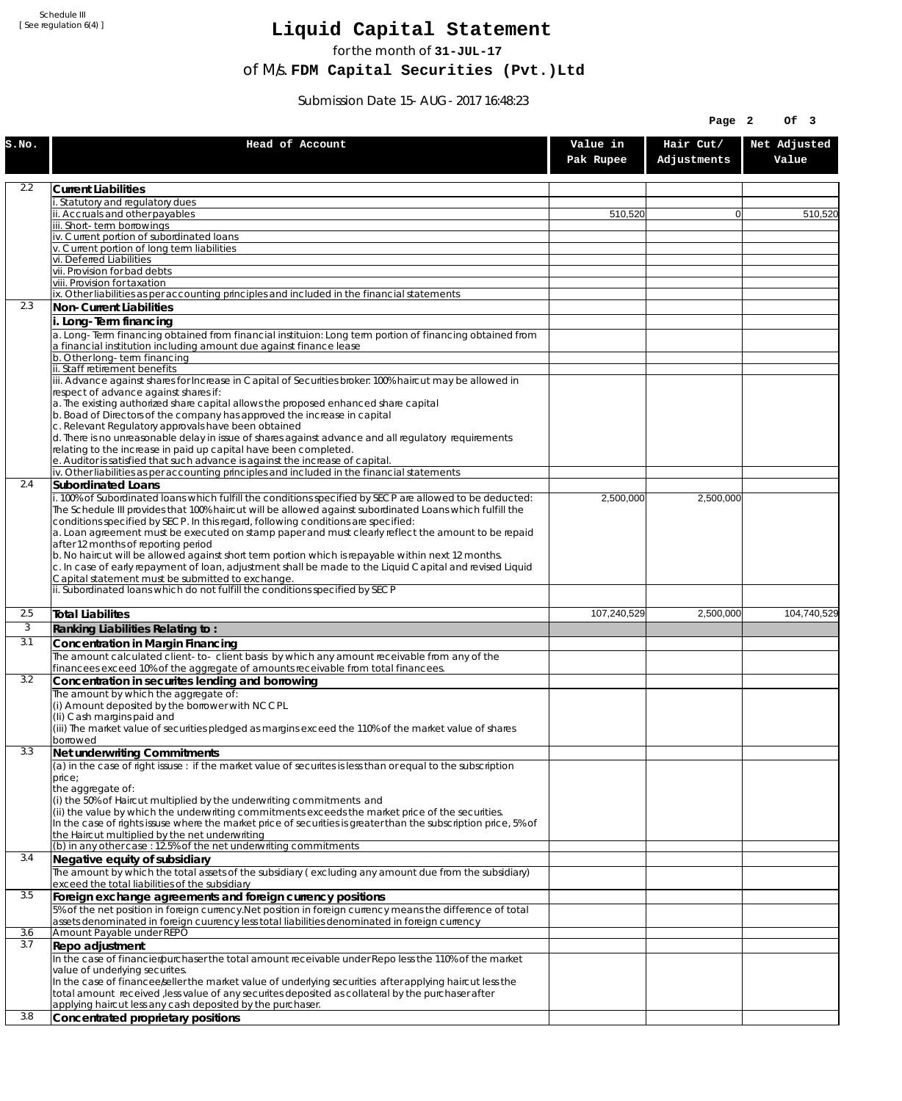Schedule III [ See regulation 6(4) ]

## **Liquid Capital Statement**

for the month of **31-JUL-17**

of M/s. **FDM Capital Securities (Pvt.)Ltd**

Submission Date 15-AUG-2017 16:48:23

|       |                                                                                                                                                                               |                       | Page 2                   | Of 3                  |
|-------|-------------------------------------------------------------------------------------------------------------------------------------------------------------------------------|-----------------------|--------------------------|-----------------------|
| S.NO. | Head of Account                                                                                                                                                               | Value in<br>Pak Rupee | Hair Cut/<br>Adjustments | Net Adjusted<br>Value |
| 2.2   | <b>Current Liabilities</b>                                                                                                                                                    |                       |                          |                       |
|       | . Statutory and regulatory dues                                                                                                                                               |                       |                          |                       |
|       | ii. Accruals and other payables                                                                                                                                               | 510,520               | $\overline{0}$           | 510,520               |
|       | iii. Short-term borrowings                                                                                                                                                    |                       |                          |                       |
|       | iv. Current portion of subordinated loans                                                                                                                                     |                       |                          |                       |
|       | v. Current portion of long term liabilities<br>vi. Deferred Liabilities                                                                                                       |                       |                          |                       |
|       | vii. Provision for bad debts                                                                                                                                                  |                       |                          |                       |
|       | viii. Provision for taxation                                                                                                                                                  |                       |                          |                       |
|       | ix. Other liabilities as per accounting principles and included in the financial statements                                                                                   |                       |                          |                       |
| 2.3   | Non-Current Liabilities                                                                                                                                                       |                       |                          |                       |
|       | i. Long-Term financing                                                                                                                                                        |                       |                          |                       |
|       | a. Long-Term financing obtained from financial instituion: Long term portion of financing obtained from<br>a financial institution including amount due against finance lease |                       |                          |                       |
|       | b. Other long-term financing                                                                                                                                                  |                       |                          |                       |
|       | ii. Staff retirement benefits                                                                                                                                                 |                       |                          |                       |
|       | iii. Advance against shares for Increase in Capital of Securities broker: 100% haircut may be allowed in                                                                      |                       |                          |                       |
|       | respect of advance against shares if:                                                                                                                                         |                       |                          |                       |
|       | a. The existing authorized share capital allows the proposed enhanced share capital<br>b. Boad of Directors of the company has approved the increase in capital               |                       |                          |                       |
|       | c. Relevant Regulatory approvals have been obtained                                                                                                                           |                       |                          |                       |
|       | d. There is no unreasonable delay in issue of shares against advance and all regulatory requirements                                                                          |                       |                          |                       |
|       | relating to the increase in paid up capital have been completed.                                                                                                              |                       |                          |                       |
|       | e. Auditor is satisfied that such advance is against the increase of capital.<br>iv. Other liabilities as per accounting principles and included in the financial statements  |                       |                          |                       |
| 2.4   | <b>Subordinated Loans</b>                                                                                                                                                     |                       |                          |                       |
|       | i. 100% of Subordinated loans which fulfill the conditions specified by SECP are allowed to be deducted:                                                                      | 2,500,000             | 2,500,000                |                       |
|       | The Schedule III provides that 100% haircut will be allowed against subordinated Loans which fulfill the                                                                      |                       |                          |                       |
|       | conditions specified by SECP. In this regard, following conditions are specified:                                                                                             |                       |                          |                       |
|       | a. Loan agreement must be executed on stamp paper and must clearly reflect the amount to be repaid                                                                            |                       |                          |                       |
|       | after 12 months of reporting period<br>b. No haircut will be allowed against short term portion which is repayable within next 12 months.                                     |                       |                          |                       |
|       | c. In case of early repayment of loan, adjustment shall be made to the Liquid Capital and revised Liquid                                                                      |                       |                          |                       |
|       | Capital statement must be submitted to exchange.                                                                                                                              |                       |                          |                       |
|       | ii. Subordinated loans which do not fulfill the conditions specified by SECP                                                                                                  |                       |                          |                       |
| 2.5   | <b>Total Liabilites</b>                                                                                                                                                       | 107,240,529           | 2,500,000                | 104,740,529           |
| 3     | Ranking Liabilities Relating to:                                                                                                                                              |                       |                          |                       |
| 3.1   | Concentration in Margin Financing                                                                                                                                             |                       |                          |                       |
|       | The amount calculated client-to- client basis by which any amount receivable from any of the                                                                                  |                       |                          |                       |
|       | financees exceed 10% of the aggregate of amounts receivable from total financees.                                                                                             |                       |                          |                       |
| 3.2   | Concentration in securites lending and borrowing                                                                                                                              |                       |                          |                       |
|       | The amount by which the aggregate of:                                                                                                                                         |                       |                          |                       |
|       | (i) Amount deposited by the borrower with NCCPL                                                                                                                               |                       |                          |                       |
|       | (Ii) Cash margins paid and<br>(iii) The market value of securities pledged as margins exceed the 110% of the market value of shares                                           |                       |                          |                       |
|       | borrowed                                                                                                                                                                      |                       |                          |                       |
| 3.3   | Net underwriting Commitments                                                                                                                                                  |                       |                          |                       |
|       | (a) in the case of right issuse : if the market value of securites is less than or equal to the subscription                                                                  |                       |                          |                       |
|       | price;                                                                                                                                                                        |                       |                          |                       |
|       | the aggregate of:<br>(i) the 50% of Haircut multiplied by the underwriting commitments and                                                                                    |                       |                          |                       |
|       | (ii) the value by which the underwriting commitments exceeds the market price of the securities.                                                                              |                       |                          |                       |
|       | In the case of rights issuse where the market price of securities is greater than the subscription price, 5% of                                                               |                       |                          |                       |
|       | the Haircut multiplied by the net underwriting                                                                                                                                |                       |                          |                       |
|       | (b) in any other case: 12.5% of the net underwriting commitments                                                                                                              |                       |                          |                       |
| 3.4   | Negative equity of subsidiary<br>The amount by which the total assets of the subsidiary (excluding any amount due from the subsidiary)                                        |                       |                          |                       |
|       | exceed the total liabilities of the subsidiary                                                                                                                                |                       |                          |                       |
| 3.5   | Foreign exchange agreements and foreign currency positions                                                                                                                    |                       |                          |                       |
|       | 5% of the net position in foreign currency. Net position in foreign currency means the difference of total                                                                    |                       |                          |                       |
|       | assets denominated in foreign cuurency less total liabilities denominated in foreign currency                                                                                 |                       |                          |                       |
| 3.6   | Amount Payable under REPO                                                                                                                                                     |                       |                          |                       |
| 3.7   | Repo adjustment                                                                                                                                                               |                       |                          |                       |
|       | In the case of financier/purchaser the total amount receivable under Repo less the 110% of the market                                                                         |                       |                          |                       |
|       | value of underlying securites.<br>In the case of financee seller the market value of underlying securities after applying haircut less the                                    |                       |                          |                       |
|       | total amount received, less value of any securites deposited as collateral by the purchaser after                                                                             |                       |                          |                       |
|       | applying haircut less any cash deposited by the purchaser.                                                                                                                    |                       |                          |                       |
| 3.8   | Concentrated proprietary positions                                                                                                                                            |                       |                          |                       |